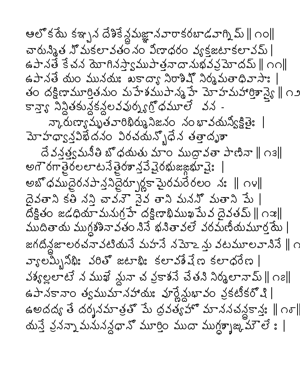ఆలో కమే కఞ్చన దేశికే న్దమజ్ఞానవారాకరబాడవాగ్ని మ్ || ౧౦|| చారున్నిత నొమకలావతం నం విణాధరం వ్యక్తజటాకలావమ్ | ఉపానతే కేచన మోగినస్వాముపాత్రనాదానుభవప్రమోదమ్ || ౧౧|| ఉపానతే యం మునయః ఖకాద్యా నిరాశిష్ నిర్మమతాధివాసాః | తం దక్షిణామూర్తితనుం మహేశముపాన్మహే మోహమహార్తిశాస్త్రె ∥ ౧౨ కాన్తాగి నిన్థితకున్లకన్లలవవుర్నగ్రోధమూలే వన -ဘၤ့လဴးတားသွယ္မွန္မွာ မွန္မွတ္ေပးဆုတ္ေလ ၁၀ ႏွာ သတ္ယားေနအဲႏွ మోహధ్వాన్నిఖేదనం విరచయన్ృధేన తత్తాదృశా దే వన్త్యమనీతి బొధయతు మాం ముద్రావతా పాణినా || ౧౩|| అగౌరగాతైరలలాటనేతైరశాన్త్ర షైరభుజఙ్ఞభూవైః అబొధముదైరనపాన్త్ర పెద్దరూ గ్లక్షామైరమరేరలం నః || ౧౪|| దైవతాని కతి నన్తి చావనౌ వైవ తాని మననొ మతాని పేు | దక్షితం జడధియామనుగ్రహే దక్షిణాభిముఖమేవ దైవతమ్ || ౧ఇ|| ముదితాయ ముగ్గశశినావతం నిసే భనితావలే వరమణీయమూర్త్రమే | జగదిన్దజాలరచనావటియనే మహనే నమోఽ స్తు వటమూలవానినే || ౧ వ్యాలమ్బీమీః వరితో జటాభిః కలావశేషేణ కలాధరేణ | నశ్యల్లలాటే న ముఖే మ్లవా చ వ్రకాశనే చేతని నిర్మలానామ్ || ౧౭|| ఉపానకానాం త్వముమానహాయః వూర్ణేన్లుఖావం వ్రకటీకరోషి | ఉఅదద్య తే దర్శనమాత్రతో పేు ద్రవత్యహో మాననచన్ధకాన్తః ∥ం్| యన్తే వ్రవన్నా మనునన్ధధానో మూర్తిం ముదా ముగ్ధ్భూజ్ని మౌలే ః |